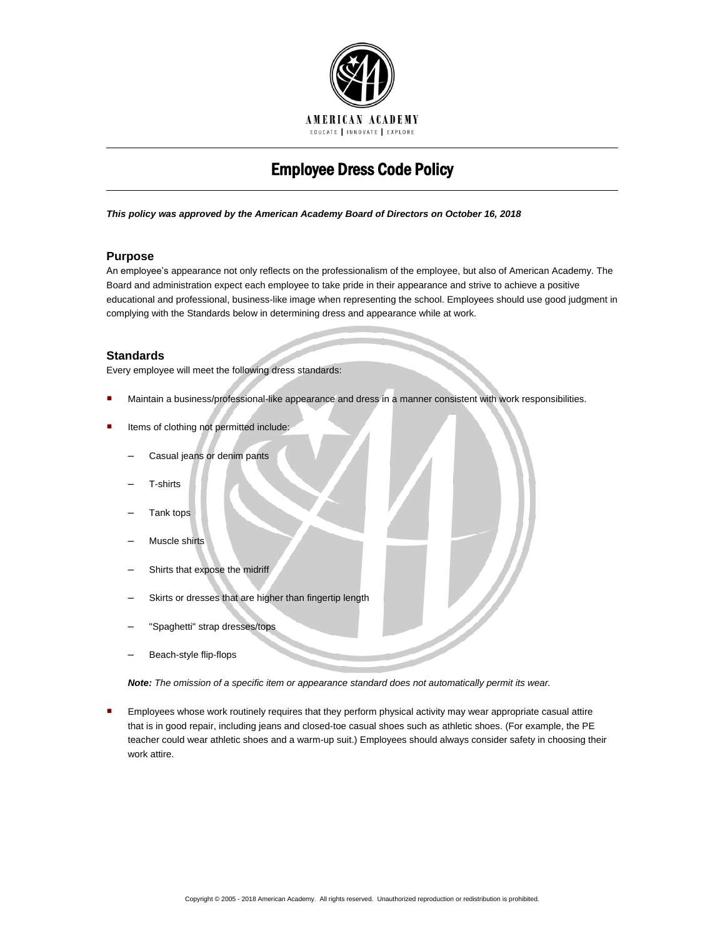

# Employee Dress Code Policy

*This policy was approved by the American Academy Board of Directors on October 16, 2018*

## **Purpose**

An employee's appearance not only reflects on the professionalism of the employee, but also of American Academy. The Board and administration expect each employee to take pride in their appearance and strive to achieve a positive educational and professional, business-like image when representing the school. Employees should use good judgment in complying with the Standards below in determining dress and appearance while at work.

## **Standards**

Every employee will meet the following dress standards:

- Maintain a business/professional-like appearance and dress in a manner consistent with work responsibilities.
- **If thems of clothing not permitted include:** 
	- Casual jeans or denim pants
	- T-shirts
	- Tank tops
	- Muscle shirts
	- Shirts that expose the midriff
	- Skirts or dresses that are higher than fingertip length
	- "Spaghetti" strap dresses/tops
	- Beach-style flip-flops

*Note: The omission of a specific item or appearance standard does not automatically permit its wear.*

**Employees whose work routinely requires that they perform physical activity may wear appropriate casual attire** that is in good repair, including jeans and closed-toe casual shoes such as athletic shoes. (For example, the PE teacher could wear athletic shoes and a warm-up suit.) Employees should always consider safety in choosing their work attire.